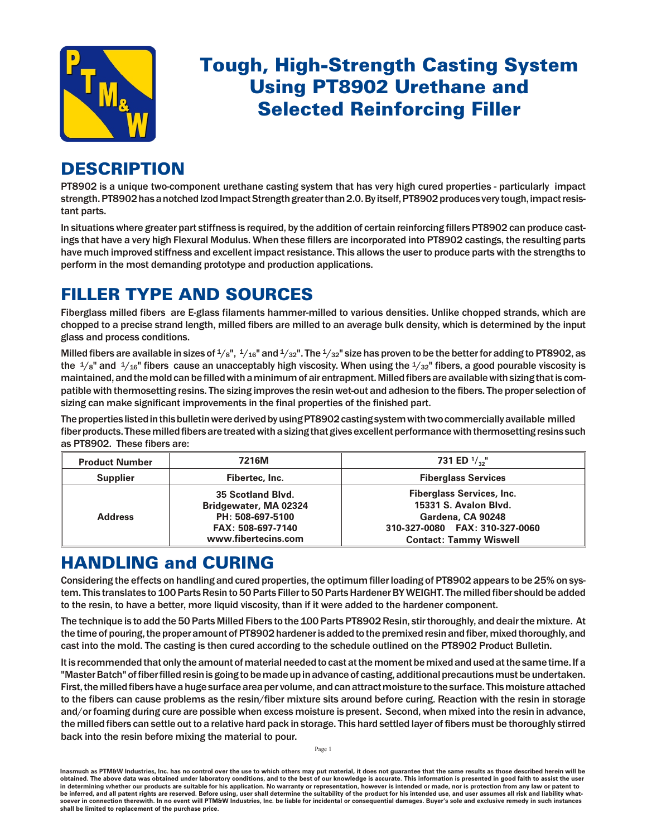

# **Tough, High-Strength Casting System Using PT8902 Urethane and Selected Reinforcing Filler**

## **DESCRIPTION**

PT8902 is a unique two-component urethane casting system that has very high cured properties - particularly impact strength. PT8902 has a notched Izod Impact Strength greater than 2.0. By itself, PT8902 produces very tough, impact resistant parts.

In situations where greater part stiffness is required, by the addition of certain reinforcing fillers PT8902 can produce castings that have a very high Flexural Modulus. When these fillers are incorporated into PT8902 castings, the resulting parts have much improved stiffness and excellent impact resistance. This allows the user to produce parts with the strengths to perform in the most demanding prototype and production applications.

### FILLER TYPE AND SOURCES

Fiberglass milled fibers are E-glass filaments hammer-milled to various densities. Unlike chopped strands, which are chopped to a precise strand length, milled fibers are milled to an average bulk density, which is determined by the input glass and process conditions.

Milled fibers are available in sizes of  $\frac{1}{8}$ ",  $\frac{1}{16}$ " and  $\frac{1}{32}$ ". The  $\frac{1}{32}$ " size has proven to be the better for adding to PT8902, as the  $\frac{1}{8}$ " and  $\frac{1}{16}$ " fibers cause an unacceptably high viscosity. When using the  $\frac{1}{32}$ " fibers, a good pourable viscosity is maintained, and the mold can be filled with a minimum of air entrapment. Milled fibers are available with sizing that is compatible with thermosetting resins. The sizing improves the resin wet-out and adhesion to the fibers. The proper selection of sizing can make significant improvements in the final properties of the finished part.

The properties listed in this bulletin were derived by using PT8902 casting system with two commercially available milled fiber products. These milled fibers are treated with a sizing that gives excellent performance with thermosetting resins such as PT8902. These fibers are:

| <b>Product Number</b> | 7216M                                                                                                      | 731 ED $\frac{1}{2}$ <sup>"</sup>                                                                                                                 |  |
|-----------------------|------------------------------------------------------------------------------------------------------------|---------------------------------------------------------------------------------------------------------------------------------------------------|--|
| <b>Supplier</b>       | Fibertec, Inc.                                                                                             | <b>Fiberglass Services</b>                                                                                                                        |  |
| <b>Address</b>        | 35 Scotland Blvd.<br>Bridgewater, MA 02324<br>PH: 508-697-5100<br>FAX: 508-697-7140<br>www.fibertecins.com | <b>Fiberglass Services, Inc.</b><br>15331 S. Avalon Blvd.<br>Gardena, CA 90248<br>310-327-0080 FAX: 310-327-0060<br><b>Contact: Tammy Wiswell</b> |  |

### **HANDLING and CURING**

Considering the effects on handling and cured properties, the optimum filler loading of PT8902 appears to be 25% on system. This translates to 100 Parts Resin to 50 Parts Filler to 50 Parts Hardener BY WEIGHT. The milled fiber should be added to the resin, to have a better, more liquid viscosity, than if it were added to the hardener component.

The technique is to add the 50 Parts Milled Fibers to the 100 Parts PT8902 Resin, stir thoroughly, and deair the mixture. At the time of pouring, the proper amount of PT8902 hardener is added to the premixed resin and fiber, mixed thoroughly, and cast into the mold. The casting is then cured according to the schedule outlined on the PT8902 Product Bulletin.

It is recommended that only the amount of material needed to cast at the moment be mixed and used at the same time. If a "Master Batch" of fiber filled resin is going to be made up in advance of casting, additional precautions must be undertaken. First, the milled fibers have a huge surface area per volume, and can attract moisture to the surface. This moisture attached to the fibers can cause problems as the resin/fiber mixture sits around before curing. Reaction with the resin in storage and/or foaming during cure are possible when excess moisture is present. Second, when mixed into the resin in advance, the milled fibers can settle out to a relative hard pack in storage. This hard settled layer of fibers must be thoroughly stirred back into the resin before mixing the material to pour.

Inasmuch as PTM&W Industries, Inc. has no control over the use to which others may put material, it does not guarantee that the same results as those described herein will be obtained. The above data was obtained under laboratory conditions, and to the best of our knowledge is accurate. This information is presented in good faith to assist the user in determining whether our products are suitable for his application. No warranty or representation, however is intended or made, nor is protection from any law or patent to be inferred, and all patent rights are reserved. Before using, user shall determine the suitability of the product for his intended use, and user assumes all risk and liability whatsoever in connection therewith. In no event will PTM&W Industries, Inc. be liable for incidental or consequential damages. Buyer's sole and exclusive remedy in such instances shall be limited to replacement of the purchase price.